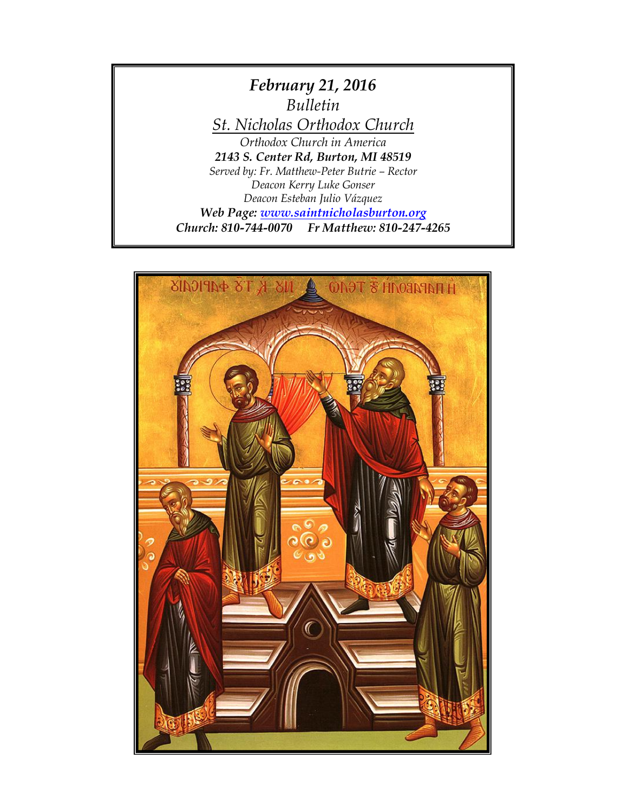

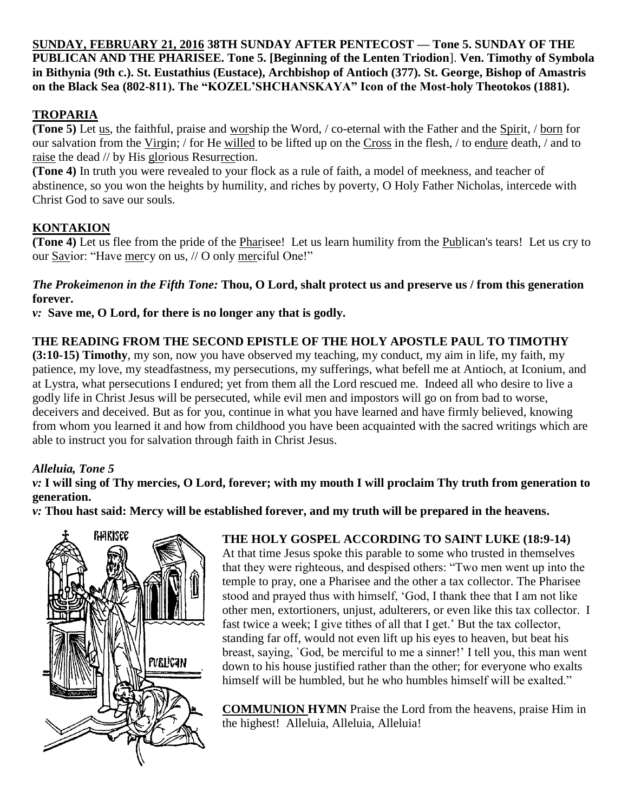**SUNDAY, FEBRUARY 21, 2016 38TH SUNDAY AFTER PENTECOST — Tone 5. SUNDAY OF THE PUBLICAN AND THE PHARISEE. Tone 5. [Beginning of the Lenten Triodion**]. **Ven. Timothy of Symbola in Bithynia (9th c.). St. Eustathius (Eustace), Archbishop of Antioch (377). St. George, Bishop of Amastris on the Black Sea (802-811). The "KOZEL'SHCHANSKAYA" Icon of the Most-holy Theotokos (1881).**

## **TROPARIA**

**(Tone 5)** Let us, the faithful, praise and worship the Word, / co-eternal with the Father and the Spirit, / born for our salvation from the Virgin; / for He willed to be lifted up on the Cross in the flesh, / to endure death, / and to raise the dead // by His glorious Resurrection.

**(Tone 4)** In truth you were revealed to your flock as a rule of faith, a model of meekness, and teacher of abstinence, so you won the heights by humility, and riches by poverty, O Holy Father Nicholas, intercede with Christ God to save our souls.

### **KONTAKION**

**(Tone 4)** Let us flee from the pride of the Pharisee! Let us learn humility from the Publican's tears! Let us cry to our Savior: "Have mercy on us, // O only merciful One!"

#### *The Prokeimenon in the Fifth Tone:* **Thou, O Lord, shalt protect us and preserve us / from this generation forever.**

*v:* **Save me, O Lord, for there is no longer any that is godly.**

### **THE READING FROM THE SECOND EPISTLE OF THE HOLY APOSTLE PAUL TO TIMOTHY**

**(3:10-15) Timothy**, my son, now you have observed my teaching, my conduct, my aim in life, my faith, my patience, my love, my steadfastness, my persecutions, my sufferings, what befell me at Antioch, at Iconium, and at Lystra, what persecutions I endured; yet from them all the Lord rescued me. Indeed all who desire to live a godly life in Christ Jesus will be persecuted, while evil men and impostors will go on from bad to worse, deceivers and deceived. But as for you, continue in what you have learned and have firmly believed, knowing from whom you learned it and how from childhood you have been acquainted with the sacred writings which are able to instruct you for salvation through faith in Christ Jesus.

### *Alleluia, Tone 5*

### *v:* **I will sing of Thy mercies, O Lord, forever; with my mouth I will proclaim Thy truth from generation to generation.**

*v:* **Thou hast said: Mercy will be established forever, and my truth will be prepared in the heavens.**



### **THE HOLY GOSPEL ACCORDING TO SAINT LUKE (18:9-14)**

At that time Jesus spoke this parable to some who trusted in themselves that they were righteous, and despised others: "Two men went up into the temple to pray, one a Pharisee and the other a tax collector. The Pharisee stood and prayed thus with himself, 'God, I thank thee that I am not like other men, extortioners, unjust, adulterers, or even like this tax collector. I fast twice a week; I give tithes of all that I get.' But the tax collector, standing far off, would not even lift up his eyes to heaven, but beat his breast, saying, `God, be merciful to me a sinner!' I tell you, this man went down to his house justified rather than the other; for everyone who exalts himself will be humbled, but he who humbles himself will be exalted."

**COMMUNION HYMN** Praise the Lord from the heavens, praise Him in the highest! Alleluia, Alleluia, Alleluia!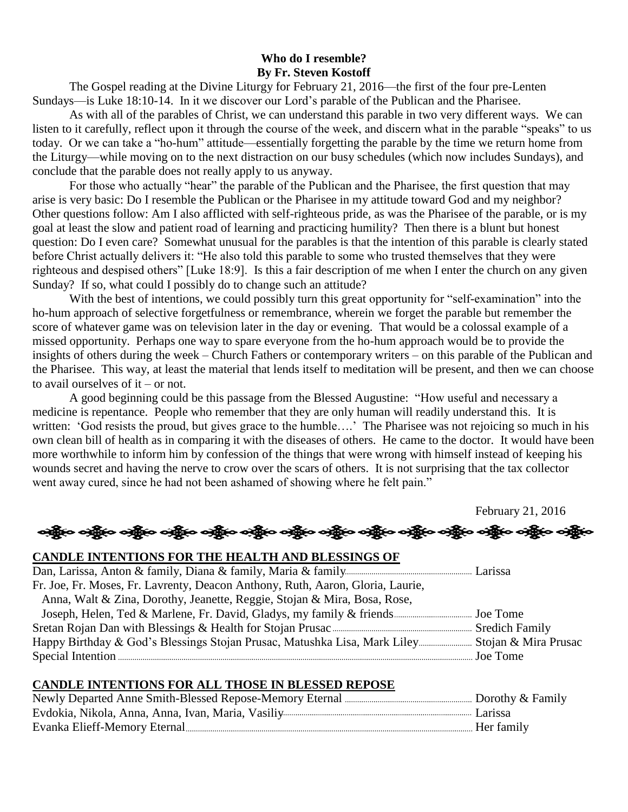### **Who do I resemble? By Fr. Steven Kostoff**

The Gospel reading at the Divine Liturgy for February 21, 2016—the first of the four pre-Lenten Sundays—is Luke 18:10-14. In it we discover our Lord's parable of the Publican and the Pharisee.

As with all of the parables of Christ, we can understand this parable in two very different ways. We can listen to it carefully, reflect upon it through the course of the week, and discern what in the parable "speaks" to us today. Or we can take a "ho-hum" attitude—essentially forgetting the parable by the time we return home from the Liturgy—while moving on to the next distraction on our busy schedules (which now includes Sundays), and conclude that the parable does not really apply to us anyway.

For those who actually "hear" the parable of the Publican and the Pharisee, the first question that may arise is very basic: Do I resemble the Publican or the Pharisee in my attitude toward God and my neighbor? Other questions follow: Am I also afflicted with self-righteous pride, as was the Pharisee of the parable, or is my goal at least the slow and patient road of learning and practicing humility? Then there is a blunt but honest question: Do I even care? Somewhat unusual for the parables is that the intention of this parable is clearly stated before Christ actually delivers it: "He also told this parable to some who trusted themselves that they were righteous and despised others" [Luke 18:9]. Is this a fair description of me when I enter the church on any given Sunday? If so, what could I possibly do to change such an attitude?

With the best of intentions, we could possibly turn this great opportunity for "self-examination" into the ho-hum approach of selective forgetfulness or remembrance, wherein we forget the parable but remember the score of whatever game was on television later in the day or evening. That would be a colossal example of a missed opportunity. Perhaps one way to spare everyone from the ho-hum approach would be to provide the insights of others during the week – Church Fathers or contemporary writers – on this parable of the Publican and the Pharisee. This way, at least the material that lends itself to meditation will be present, and then we can choose to avail ourselves of it – or not.

A good beginning could be this passage from the Blessed Augustine: "How useful and necessary a medicine is repentance. People who remember that they are only human will readily understand this. It is written: 'God resists the proud, but gives grace to the humble....' The Pharisee was not rejoicing so much in his own clean bill of health as in comparing it with the diseases of others. He came to the doctor. It would have been more worthwhile to inform him by confession of the things that were wrong with himself instead of keeping his wounds secret and having the nerve to crow over the scars of others. It is not surprising that the tax collector went away cured, since he had not been ashamed of showing where he felt pain."

February 21, 2016

# અંક્ષેત્ર અક્ષેત્ર અક્ષેત્ર અહીં અને અહીં અને અહીં અને અહીં અને અહીં અને અહીં અને અહીં અને અહીં અને

### **CANDLE INTENTIONS FOR THE HEALTH AND BLESSINGS OF**  Dan, Larissa, Anton & family, Diana & family, Maria & family Larissa Fr. Joe, Fr. Moses, Fr. Lavrenty, Deacon Anthony, Ruth, Aaron, Gloria, Laurie, Anna, Walt & Zina, Dorothy, Jeanette, Reggie, Stojan & Mira, Bosa, Rose, Joseph, Helen, Ted & Marlene, Fr. David, Gladys, my family & friends Joe Tome Sretan Rojan Dan with Blessings & Health for Stojan Prusac Sredich Family Happy Birthday & God's Blessings Stojan Prusac, Matushka Lisa, Mark Liley Stojan & Mira Prusac Special Intention Joe Tome

#### **CANDLE INTENTIONS FOR ALL THOSE IN BLESSED REPOSE**

| Her family |  |
|------------|--|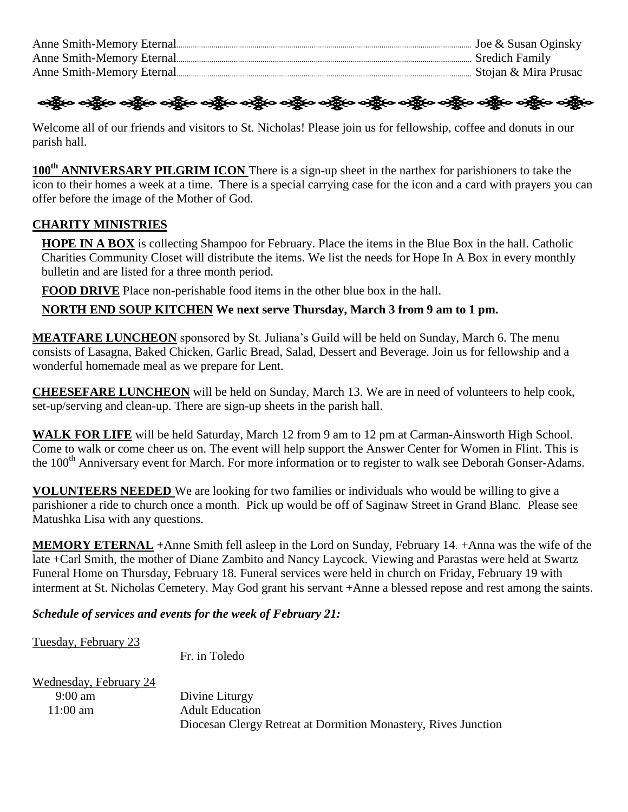|                           | Joe & Susan Oginsky  |
|---------------------------|----------------------|
| Anne Smith-Memory Eternal | Sredich Family       |
| Anne Smith-Memory Eternal | Stojan & Mira Prusac |

## ခရွိက ခရွိက ခရွိက သူမြို့ အသို့ အသို့ အသို့ အသို့ အသို့ အသို့ အသို့ အသို့ အသို့ အသို့ အသို့ အသို့ အသို့ အသို့

Welcome all of our friends and visitors to St. Nicholas! Please join us for fellowship, coffee and donuts in our parish hall.

**100th ANNIVERSARY PILGRIM ICON** There is a sign-up sheet in the narthex for parishioners to take the icon to their homes a week at a time. There is a special carrying case for the icon and a card with prayers you can offer before the image of the Mother of God.

### **CHARITY MINISTRIES**

**HOPE IN A BOX** is collecting Shampoo for February. Place the items in the Blue Box in the hall. Catholic Charities Community Closet will distribute the items. We list the needs for Hope In A Box in every monthly bulletin and are listed for a three month period.

**FOOD DRIVE** Place non-perishable food items in the other blue box in the hall.

**NORTH END SOUP KITCHEN We next serve Thursday, March 3 from 9 am to 1 pm.**

**MEATFARE LUNCHEON** sponsored by St. Juliana's Guild will be held on Sunday, March 6. The menu consists of Lasagna, Baked Chicken, Garlic Bread, Salad, Dessert and Beverage. Join us for fellowship and a wonderful homemade meal as we prepare for Lent.

**CHEESEFARE LUNCHEON** will be held on Sunday, March 13. We are in need of volunteers to help cook, set-up/serving and clean-up. There are sign-up sheets in the parish hall.

WALK FOR LIFE will be held Saturday, March 12 from 9 am to 12 pm at Carman-Ainsworth High School. Come to walk or come cheer us on. The event will help support the Answer Center for Women in Flint. This is the 100<sup>th</sup> Anniversary event for March. For more information or to register to walk see Deborah Gonser-Adams.

**VOLUNTEERS NEEDED** We are looking for two families or individuals who would be willing to give a parishioner a ride to church once a month. Pick up would be off of Saginaw Street in Grand Blanc. Please see Matushka Lisa with any questions.

**MEMORY ETERNAL +**Anne Smith fell asleep in the Lord on Sunday, February 14. +Anna was the wife of the late +Carl Smith, the mother of Diane Zambito and Nancy Laycock. Viewing and Parastas were held at Swartz Funeral Home on Thursday, February 18. Funeral services were held in church on Friday, February 19 with interment at St. Nicholas Cemetery. May God grant his servant +Anne a blessed repose and rest among the saints.

*Schedule of services and events for the week of February 21:*

Tuesday, February 23

Fr. in Toledo

| Wednesday, February 24 |                                                                |
|------------------------|----------------------------------------------------------------|
| $9:00 \text{ am}$      | Divine Liturgy                                                 |
| $11:00 \text{ am}$     | <b>Adult Education</b>                                         |
|                        | Diocesan Clergy Retreat at Dormition Monastery, Rives Junction |